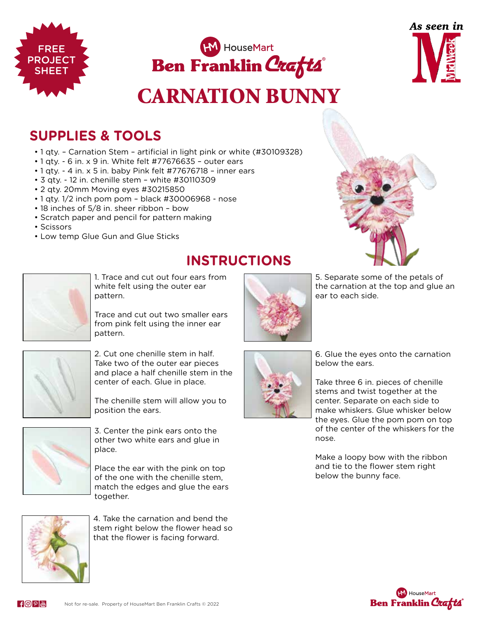

## CARNATION BUNNY

**INSTRUCTIONS**



## **SUPPLIES & TOOLS**

- 1 qty. Carnation Stem artificial in light pink or white (#30109328)
- 1 qty. 6 in. x 9 in. White felt #77676635 outer ears
- 1 qty. 4 in. x 5 in. baby Pink felt #77676718 inner ears
- 3 qty. 12 in. chenille stem white #30110309
- 2 qty. 20mm Moving eyes #30215850
- 1 qty. 1/2 inch pom pom black #30006968 nose
- 18 inches of 5/8 in. sheer ribbon bow
- Scratch paper and pencil for pattern making
- Scissors

FREE PROJECT SHEET

• Low temp Glue Gun and Glue Sticks



1. Trace and cut out four ears from white felt using the outer ear pattern.

Trace and cut out two smaller ears from pink felt using the inner ear pattern.



2. Cut one chenille stem in half. Take two of the outer ear pieces and place a half chenille stem in the center of each. Glue in place.

The chenille stem will allow you to position the ears.



3. Center the pink ears onto the other two white ears and glue in place.

Place the ear with the pink on top of the one with the chenille stem, match the edges and glue the ears together.



4. Take the carnation and bend the stem right below the flower head so that the flower is facing forward.



5. Separate some of the petals of the carnation at the top and glue an ear to each side.



6. Glue the eyes onto the carnation below the ears.

Take three 6 in. pieces of chenille stems and twist together at the center. Separate on each side to make whiskers. Glue whisker below the eyes. Glue the pom pom on top of the center of the whiskers for the nose.

Make a loopy bow with the ribbon and tie to the flower stem right below the bunny face.